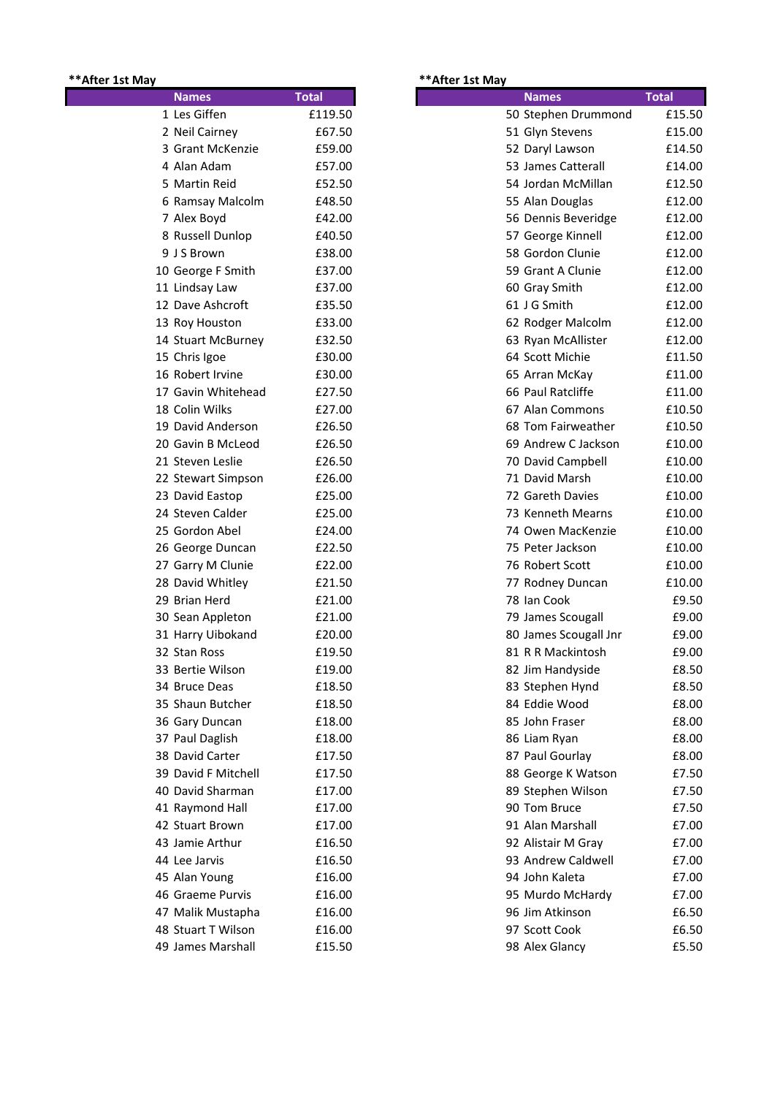## **\*\*After 1st May \*\*After 1st May**

| <b>Names</b>        | <b>Total</b> |
|---------------------|--------------|
| 1 Les Giffen        | £119.50      |
| 2 Neil Cairney      | £67.50       |
| 3 Grant McKenzie    | £59.00       |
| 4 Alan Adam         | £57.00       |
| 5 Martin Reid       | £52.50       |
| 6 Ramsay Malcolm    | £48.50       |
| 7 Alex Boyd         | £42.00       |
| 8 Russell Dunlop    | £40.50       |
| 9 J S Brown         | £38.00       |
| 10 George F Smith   | £37.00       |
| 11 Lindsay Law      | £37.00       |
| 12 Dave Ashcroft    | £35.50       |
| 13 Roy Houston      | £33.00       |
| 14 Stuart McBurney  | £32.50       |
| 15 Chris Igoe       | £30.00       |
| 16 Robert Irvine    | £30.00       |
| 17 Gavin Whitehead  | £27.50       |
| 18 Colin Wilks      | £27.00       |
| 19 David Anderson   | £26.50       |
| 20 Gavin B McLeod   | £26.50       |
| 21 Steven Leslie    | £26.50       |
| 22 Stewart Simpson  | £26.00       |
| 23 David Eastop     | £25.00       |
| 24 Steven Calder    | £25.00       |
| 25 Gordon Abel      | £24.00       |
| 26 George Duncan    | £22.50       |
| 27 Garry M Clunie   | £22.00       |
| 28 David Whitley    | £21.50       |
| 29 Brian Herd       | £21.00       |
| 30 Sean Appleton    | £21.00       |
| 31 Harry Uibokand   | £20.00       |
| 32 Stan Ross        | £19.50       |
| 33 Bertie Wilson    | £19.00       |
| 34 Bruce Deas       | £18.50       |
| 35 Shaun Butcher    | £18.50       |
| 36 Gary Duncan      | £18.00       |
| 37 Paul Daglish     | £18.00       |
| 38 David Carter     | £17.50       |
| 39 David F Mitchell | £17.50       |
| 40 David Sharman    | £17.00       |
| 41 Raymond Hall     | £17.00       |
| 42 Stuart Brown     | £17.00       |
| 43 Jamie Arthur     | £16.50       |
| 44 Lee Jarvis       | £16.50       |
| 45 Alan Young       | £16.00       |
| 46 Graeme Purvis    | £16.00       |
| 47 Malik Mustapha   | £16.00       |
| 48 Stuart T Wilson  | £16.00       |
| 49 James Marshall   | £15.50       |
|                     |              |

| <b>Names</b>        | <b>Total</b> | <b>Names</b>          | <b>Total</b> |
|---------------------|--------------|-----------------------|--------------|
| 1 Les Giffen        | £119.50      | 50 Stephen Drummond   | £15.50       |
| 2 Neil Cairney      | £67.50       | 51 Glyn Stevens       | £15.00       |
| 3 Grant McKenzie    | £59.00       | 52 Daryl Lawson       | £14.50       |
| 4 Alan Adam         | £57.00       | 53 James Catterall    | £14.00       |
| 5 Martin Reid       | £52.50       | 54 Jordan McMillan    | £12.50       |
| 6 Ramsay Malcolm    | £48.50       | 55 Alan Douglas       | £12.00       |
| 7 Alex Boyd         | £42.00       | 56 Dennis Beveridge   | £12.00       |
| 8 Russell Dunlop    | £40.50       | 57 George Kinnell     | £12.00       |
| 9 J S Brown         | £38.00       | 58 Gordon Clunie      | £12.00       |
| 10 George F Smith   | £37.00       | 59 Grant A Clunie     | £12.00       |
| 11 Lindsay Law      | £37.00       | 60 Gray Smith         | £12.00       |
| 12 Dave Ashcroft    | £35.50       | 61 J G Smith          | £12.00       |
| 13 Roy Houston      | £33.00       | 62 Rodger Malcolm     | £12.00       |
| 14 Stuart McBurney  | £32.50       | 63 Ryan McAllister    | £12.00       |
| 15 Chris Igoe       | £30.00       | 64 Scott Michie       | £11.50       |
| 16 Robert Irvine    | £30.00       | 65 Arran McKay        | £11.00       |
| 17 Gavin Whitehead  | £27.50       | 66 Paul Ratcliffe     | £11.00       |
| 18 Colin Wilks      | £27.00       | 67 Alan Commons       | £10.50       |
| 19 David Anderson   | £26.50       | 68 Tom Fairweather    | £10.50       |
| 20 Gavin B McLeod   | £26.50       | 69 Andrew C Jackson   | £10.00       |
| 21 Steven Leslie    | £26.50       | 70 David Campbell     | £10.00       |
| 22 Stewart Simpson  | £26.00       | 71 David Marsh        | £10.00       |
| 23 David Eastop     | £25.00       | 72 Gareth Davies      | £10.00       |
| 24 Steven Calder    | £25.00       | 73 Kenneth Mearns     | £10.00       |
| 25 Gordon Abel      | £24.00       | 74 Owen MacKenzie     | £10.00       |
| 26 George Duncan    | £22.50       | 75 Peter Jackson      | £10.00       |
| 27 Garry M Clunie   | £22.00       | 76 Robert Scott       | £10.00       |
| 28 David Whitley    | £21.50       | 77 Rodney Duncan      | £10.00       |
| 29 Brian Herd       | £21.00       | 78 Ian Cook           | £9.50        |
| 30 Sean Appleton    | £21.00       | 79 James Scougall     | £9.00        |
| 31 Harry Uibokand   | £20.00       | 80 James Scougall Jnr | £9.00        |
| 32 Stan Ross        | £19.50       | 81 R R Mackintosh     | £9.00        |
| 33 Bertie Wilson    | £19.00       | 82 Jim Handyside      | £8.50        |
| 34 Bruce Deas       | £18.50       | 83 Stephen Hynd       | £8.50        |
| 35 Shaun Butcher    | £18.50       | 84 Eddie Wood         | £8.00        |
| 36 Gary Duncan      | £18.00       | 85 John Fraser        | £8.00        |
| 37 Paul Daglish     | £18.00       | 86 Liam Ryan          | £8.00        |
| 38 David Carter     | £17.50       | 87 Paul Gourlay       | £8.00        |
| 39 David F Mitchell | £17.50       | 88 George K Watson    | £7.50        |
| 40 David Sharman    | £17.00       | 89 Stephen Wilson     | £7.50        |
| 41 Raymond Hall     | £17.00       | 90 Tom Bruce          | £7.50        |
| 42 Stuart Brown     | £17.00       | 91 Alan Marshall      | £7.00        |
| 43 Jamie Arthur     | £16.50       | 92 Alistair M Gray    | £7.00        |
| 44 Lee Jarvis       | £16.50       | 93 Andrew Caldwell    | £7.00        |
| 45 Alan Young       | £16.00       | 94 John Kaleta        | £7.00        |
| 46 Graeme Purvis    | £16.00       | 95 Murdo McHardy      | £7.00        |
| 47 Malik Mustapha   | £16.00       | 96 Jim Atkinson       | £6.50        |
| 48 Stuart T Wilson  | £16.00       | 97 Scott Cook         | £6.50        |
| 49 James Marshall   | £15.50       | 98 Alex Glancy        | £5.50        |